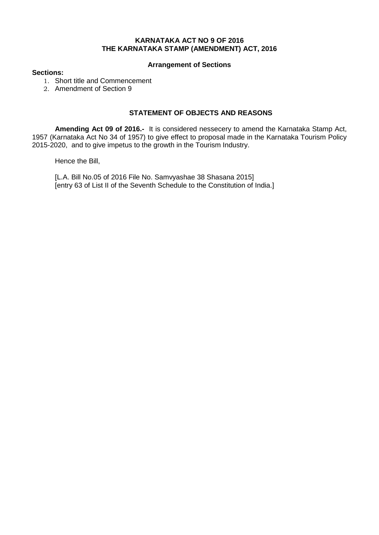## **KARNATAKA ACT NO 9 OF 2016 THE KARNATAKA STAMP (AMENDMENT) ACT, 2016**

## **Arrangement of Sections**

## **Sections:**

- 1. Short title and Commencement
- 2. Amendment of Section 9

## **STATEMENT OF OBJECTS AND REASONS**

**Amending Act 09 of 2016.-** It is considered nessecery to amend the Karnataka Stamp Act, 1957 (Karnataka Act No 34 of 1957) to give effect to proposal made in the Karnataka Tourism Policy 2015-2020, and to give impetus to the growth in the Tourism Industry.

Hence the Bill,

[L.A. Bill No.05 of 2016 File No. Samvyashae 38 Shasana 2015] [entry 63 of List II of the Seventh Schedule to the Constitution of India.]